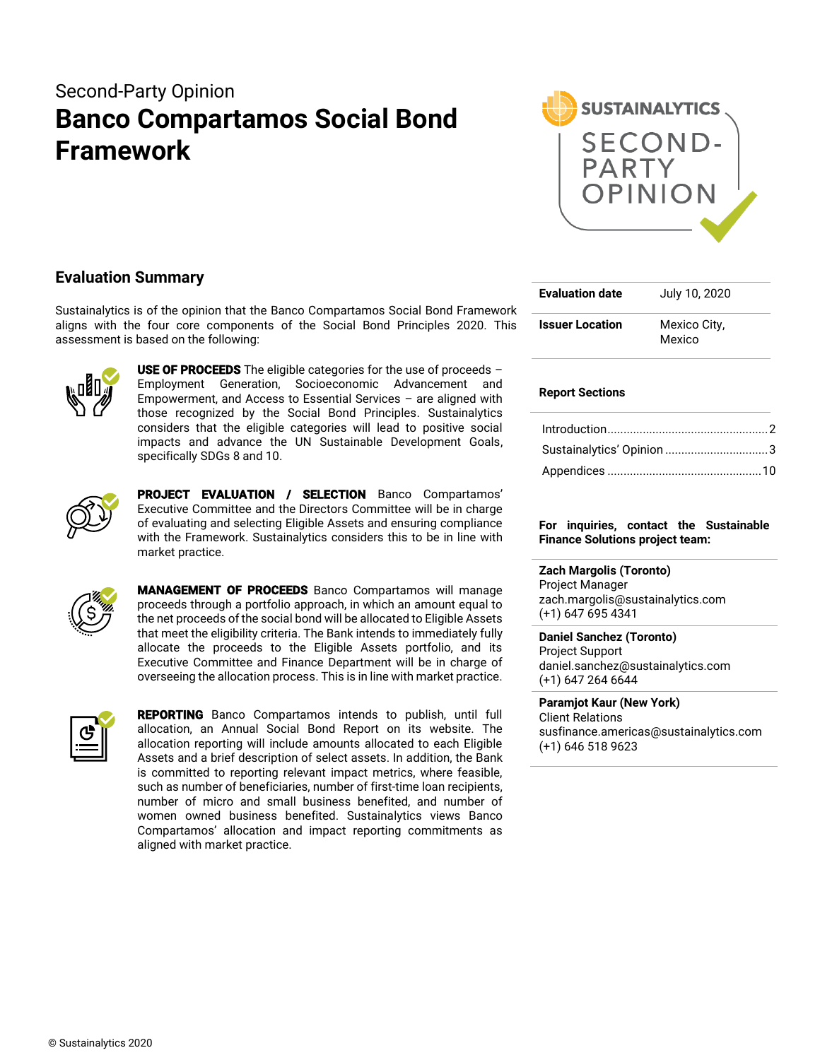# Second-Party Opinion **Banco Compartamos Social Bond Framework**



## **Evaluation Summary**

Sustainalytics is of the opinion that the Banco Compartamos Social Bond Framework aligns with the four core components of the Social Bond Principles 2020. This assessment is based on the following:



**USE OF PROCEEDS** The eligible categories for the use of proceeds  $-$ Employment Generation, Socioeconomic Advancement and Empowerment, and Access to Essential Services – are aligned with those recognized by the Social Bond Principles. Sustainalytics considers that the eligible categories will lead to positive social impacts and advance the UN Sustainable Development Goals, specifically SDGs 8 and 10.



PROJECT EVALUATION / SELECTION Banco Compartamos' Executive Committee and the Directors Committee will be in charge of evaluating and selecting Eligible Assets and ensuring compliance with the Framework. Sustainalytics considers this to be in line with market practice.



MANAGEMENT OF PROCEEDS Banco Compartamos will manage proceeds through a portfolio approach, in which an amount equal to the net proceeds of the social bond will be allocated to Eligible Assets that meet the eligibility criteria. The Bank intends to immediately fully allocate the proceeds to the Eligible Assets portfolio, and its Executive Committee and Finance Department will be in charge of overseeing the allocation process. This is in line with market practice.



REPORTING Banco Compartamos intends to publish, until full allocation, an Annual Social Bond Report on its website. The allocation reporting will include amounts allocated to each Eligible Assets and a brief description of select assets. In addition, the Bank is committed to reporting relevant impact metrics, where feasible, such as number of beneficiaries, number of first-time loan recipients, number of micro and small business benefited, and number of women owned business benefited. Sustainalytics views Banco Compartamos' allocation and impact reporting commitments as aligned with market practice.

| <b>Evaluation date</b> | July 10, 2020          |
|------------------------|------------------------|
| <b>Issuer Location</b> | Mexico City,<br>Mexico |

## **Report Sections**

| Sustainalytics' Opinion 3 |  |
|---------------------------|--|
|                           |  |

## **For inquiries, contact the Sustainable Finance Solutions project team:**

## **Zach Margolis (Toronto)**

Project Manager zach.margolis@sustainalytics.com (+1) 647 695 4341

**Daniel Sanchez (Toronto)** Project Support daniel.sanchez@sustainalytics.com (+1) 647 264 6644

**Paramjot Kaur (New York)** Client Relations susfinance.americas@sustainalytics.com (+1) 646 518 9623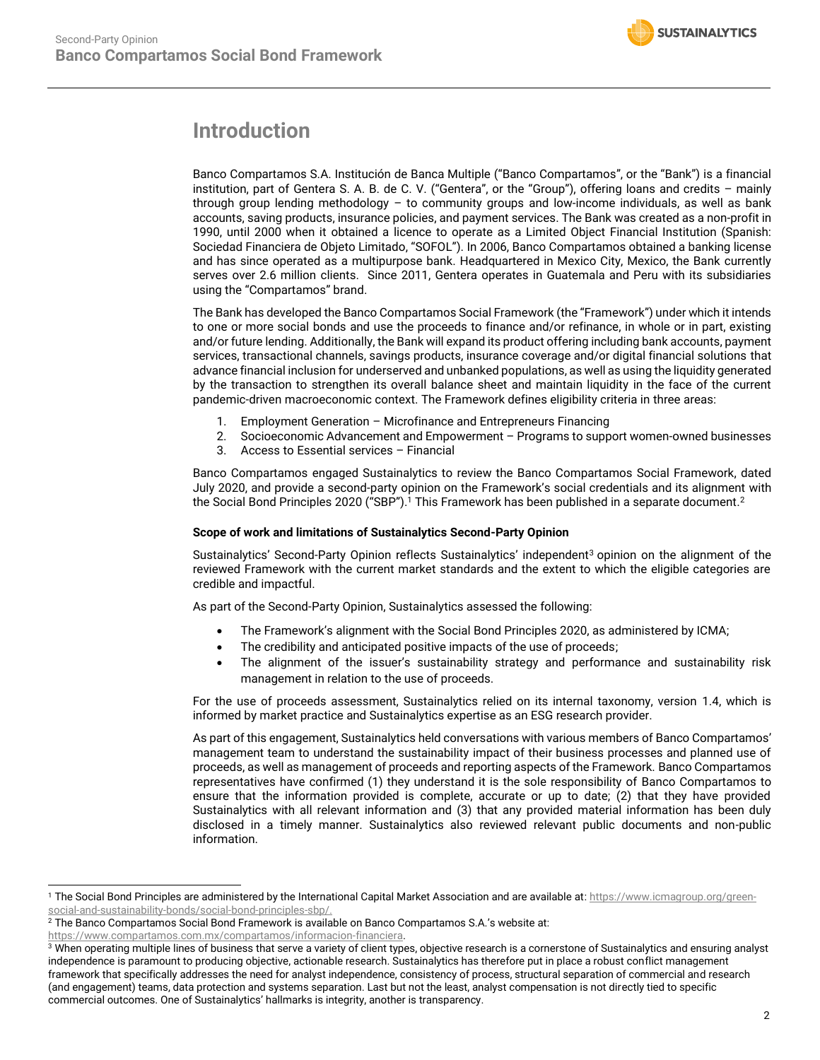

# <span id="page-1-0"></span>**Introduction**

Banco Compartamos S.A. Institución de Banca Multiple ("Banco Compartamos", or the "Bank") is a financial institution, part of Gentera S. A. B. de C. V. ("Gentera", or the "Group"), offering loans and credits – mainly through group lending methodology – to community groups and low-income individuals, as well as bank accounts, saving products, insurance policies, and payment services. The Bank was created as a non-profit in 1990, until 2000 when it obtained a licence to operate as a Limited Object Financial Institution (Spanish: Sociedad Financiera de Objeto Limitado, "SOFOL"). In 2006, Banco Compartamos obtained a banking license and has since operated as a multipurpose bank. Headquartered in Mexico City, Mexico, the Bank currently serves over 2.6 million clients. Since 2011, Gentera operates in Guatemala and Peru with its subsidiaries using the "Compartamos" brand.

The Bank has developed the Banco Compartamos Social Framework (the "Framework") under which it intends to one or more social bonds and use the proceeds to finance and/or refinance, in whole or in part, existing and/or future lending. Additionally, the Bank will expand its product offering including bank accounts, payment services, transactional channels, savings products, insurance coverage and/or digital financial solutions that advance financial inclusion for underserved and unbanked populations, as well as using the liquidity generated by the transaction to strengthen its overall balance sheet and maintain liquidity in the face of the current pandemic-driven macroeconomic context. The Framework defines eligibility criteria in three areas:

- 1. Employment Generation Microfinance and Entrepreneurs Financing
- 2. Socioeconomic Advancement and Empowerment Programs to support women-owned businesses
- 3. Access to Essential services Financial

Banco Compartamos engaged Sustainalytics to review the Banco Compartamos Social Framework, dated July 2020, and provide a second-party opinion on the Framework's social credentials and its alignment with the Social Bond Principles 2020 ("SBP"). <sup>1</sup> This Framework has been published in a separate document. 2

## **Scope of work and limitations of Sustainalytics Second-Party Opinion**

Sustainalytics' Second-Party Opinion reflects Sustainalytics' independent<sup>3</sup> opinion on the alignment of the reviewed Framework with the current market standards and the extent to which the eligible categories are credible and impactful.

As part of the Second-Party Opinion, Sustainalytics assessed the following:

- The Framework's alignment with the Social Bond Principles 2020, as administered by ICMA;
- The credibility and anticipated positive impacts of the use of proceeds;
- The alignment of the issuer's sustainability strategy and performance and sustainability risk management in relation to the use of proceeds.

For the use of proceeds assessment, Sustainalytics relied on its internal taxonomy, version 1.4, which is informed by market practice and Sustainalytics expertise as an ESG research provider.

As part of this engagement, Sustainalytics held conversations with various members of Banco Compartamos' management team to understand the sustainability impact of their business processes and planned use of proceeds, as well as management of proceeds and reporting aspects of the Framework. Banco Compartamos representatives have confirmed (1) they understand it is the sole responsibility of Banco Compartamos to ensure that the information provided is complete, accurate or up to date; (2) that they have provided Sustainalytics with all relevant information and (3) that any provided material information has been duly disclosed in a timely manner. Sustainalytics also reviewed relevant public documents and non-public information.

[https://www.compartamos.com.mx/compartamos/informacion-financiera.](https://www.compartamos.com.mx/compartamos/informacion-financiera)

<sup>&</sup>lt;sup>1</sup> The Social Bond Principles are administered by the International Capital Market Association and are available at: [https://www.icmagroup.org/green](https://www.icmagroup.org/green-social-and-sustainability-bonds/social-bond-principles-sbp/)[social-and-sustainability-bonds/social-bond-principles-sbp/.](https://www.icmagroup.org/green-social-and-sustainability-bonds/social-bond-principles-sbp/)

<sup>2</sup> The Banco Compartamos Social Bond Framework is available on Banco Compartamos S.A.'s website at:

 $\frac{3}{3}$  When operating multiple lines of business that serve a variety of client types, objective research is a cornerstone of Sustainalytics and ensuring analyst independence is paramount to producing objective, actionable research. Sustainalytics has therefore put in place a robust conflict management framework that specifically addresses the need for analyst independence, consistency of process, structural separation of commercial and research (and engagement) teams, data protection and systems separation. Last but not the least, analyst compensation is not directly tied to specific commercial outcomes. One of Sustainalytics' hallmarks is integrity, another is transparency.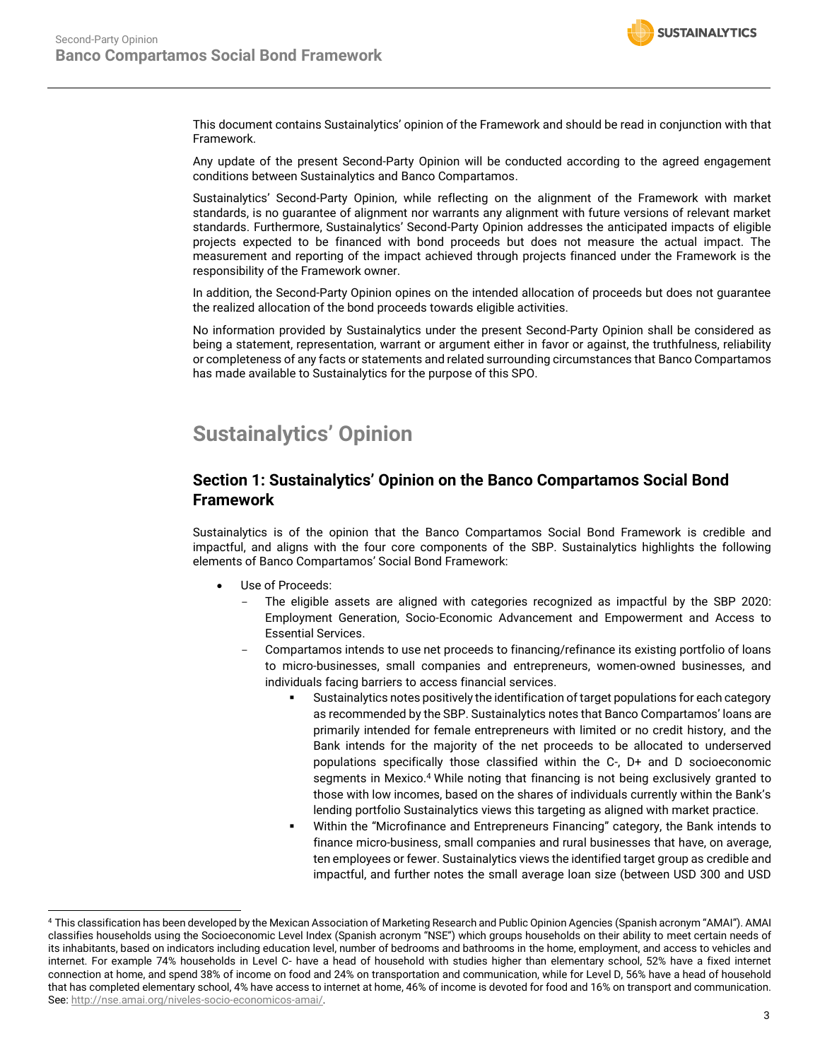

This document contains Sustainalytics' opinion of the Framework and should be read in conjunction with that Framework.

Any update of the present Second-Party Opinion will be conducted according to the agreed engagement conditions between Sustainalytics and Banco Compartamos.

Sustainalytics' Second-Party Opinion, while reflecting on the alignment of the Framework with market standards, is no guarantee of alignment nor warrants any alignment with future versions of relevant market standards. Furthermore, Sustainalytics' Second-Party Opinion addresses the anticipated impacts of eligible projects expected to be financed with bond proceeds but does not measure the actual impact. The measurement and reporting of the impact achieved through projects financed under the Framework is the responsibility of the Framework owner.

In addition, the Second-Party Opinion opines on the intended allocation of proceeds but does not guarantee the realized allocation of the bond proceeds towards eligible activities.

No information provided by Sustainalytics under the present Second-Party Opinion shall be considered as being a statement, representation, warrant or argument either in favor or against, the truthfulness, reliability or completeness of any facts or statements and related surrounding circumstances that Banco Compartamos has made available to Sustainalytics for the purpose of this SPO.

# <span id="page-2-0"></span>**Sustainalytics' Opinion**

## **Section 1: Sustainalytics' Opinion on the Banco Compartamos Social Bond Framework**

Sustainalytics is of the opinion that the Banco Compartamos Social Bond Framework is credible and impactful, and aligns with the four core components of the SBP. Sustainalytics highlights the following elements of Banco Compartamos' Social Bond Framework:

- Use of Proceeds:
	- The eligible assets are aligned with categories recognized as impactful by the SBP 2020: Employment Generation, Socio-Economic Advancement and Empowerment and Access to Essential Services.
	- Compartamos intends to use net proceeds to financing/refinance its existing portfolio of loans to micro-businesses, small companies and entrepreneurs, women-owned businesses, and individuals facing barriers to access financial services.
		- Sustainalytics notes positively the identification of target populations for each category as recommended by the SBP. Sustainalytics notes that Banco Compartamos' loans are primarily intended for female entrepreneurs with limited or no credit history, and the Bank intends for the majority of the net proceeds to be allocated to underserved populations specifically those classified within the C-, D+ and D socioeconomic segments in Mexico. <sup>4</sup> While noting that financing is not being exclusively granted to those with low incomes, based on the shares of individuals currently within the Bank's lending portfolio Sustainalytics views this targeting as aligned with market practice.
		- Within the "Microfinance and Entrepreneurs Financing" category, the Bank intends to finance micro-business, small companies and rural businesses that have, on average, ten employees or fewer. Sustainalytics views the identified target group as credible and impactful, and further notes the small average loan size (between USD 300 and USD

<sup>4</sup> This classification has been developed by the Mexican Association of Marketing Research and Public Opinion Agencies (Spanish acronym "AMAI"). AMAI classifies households using the Socioeconomic Level Index (Spanish acronym "NSE") which groups households on their ability to meet certain needs of its inhabitants, based on indicators including education level, number of bedrooms and bathrooms in the home, employment, and access to vehicles and internet. For example 74% households in Level C- have a head of household with studies higher than elementary school, 52% have a fixed internet connection at home, and spend 38% of income on food and 24% on transportation and communication, while for Level D, 56% have a head of household that has completed elementary school, 4% have access to internet at home, 46% of income is devoted for food and 16% on transport and communication. See[: http://nse.amai.org/niveles-socio-economicos-amai/.](http://nse.amai.org/niveles-socio-economicos-amai/)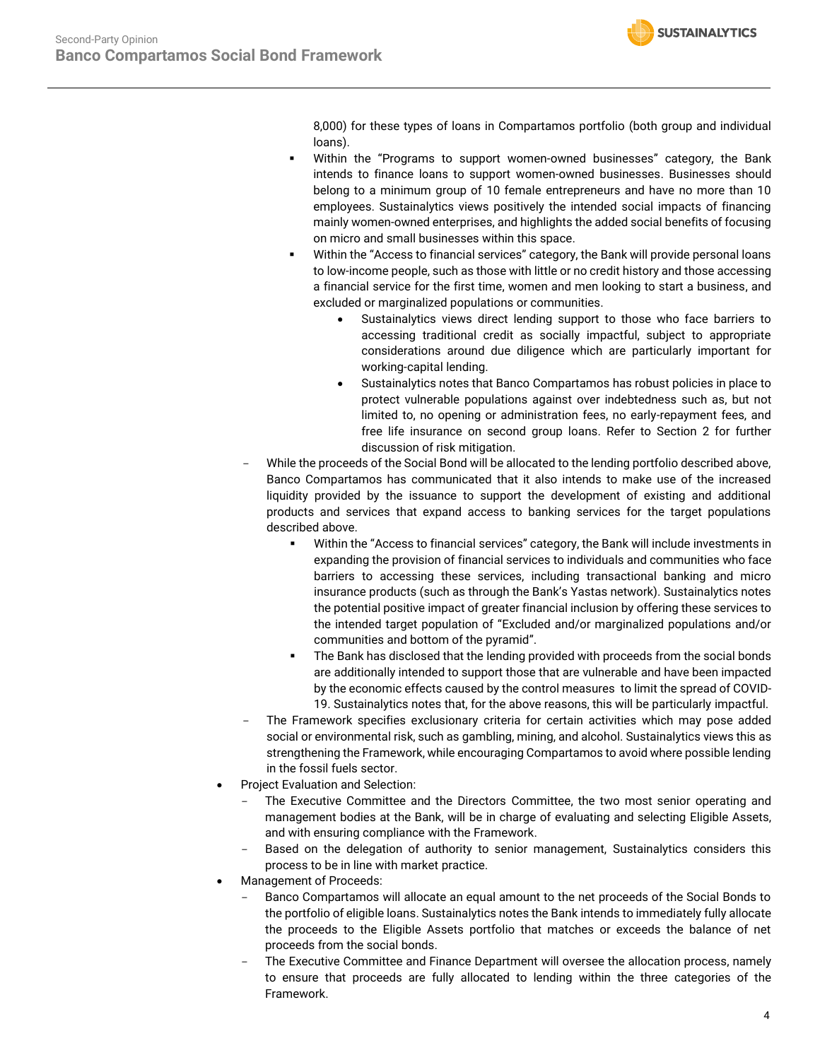

8,000) for these types of loans in Compartamos portfolio (both group and individual loans).

- Within the "Programs to support women-owned businesses" category, the Bank intends to finance loans to support women-owned businesses. Businesses should belong to a minimum group of 10 female entrepreneurs and have no more than 10 employees. Sustainalytics views positively the intended social impacts of financing mainly women-owned enterprises, and highlights the added social benefits of focusing on micro and small businesses within this space.
- Within the "Access to financial services" category, the Bank will provide personal loans to low-income people, such as those with little or no credit history and those accessing a financial service for the first time, women and men looking to start a business, and excluded or marginalized populations or communities.
	- Sustainalytics views direct lending support to those who face barriers to accessing traditional credit as socially impactful, subject to appropriate considerations around due diligence which are particularly important for working-capital lending.
	- Sustainalytics notes that Banco Compartamos has robust policies in place to protect vulnerable populations against over indebtedness such as, but not limited to, no opening or administration fees, no early-repayment fees, and free life insurance on second group loans. Refer to Section 2 for further discussion of risk mitigation.
- While the proceeds of the Social Bond will be allocated to the lending portfolio described above, Banco Compartamos has communicated that it also intends to make use of the increased liquidity provided by the issuance to support the development of existing and additional products and services that expand access to banking services for the target populations described above.
	- Within the "Access to financial services" category, the Bank will include investments in expanding the provision of financial services to individuals and communities who face barriers to accessing these services, including transactional banking and micro insurance products (such as through the Bank's Yastas network). Sustainalytics notes the potential positive impact of greater financial inclusion by offering these services to the intended target population of "Excluded and/or marginalized populations and/or communities and bottom of the pyramid".
	- **•** The Bank has disclosed that the lending provided with proceeds from the social bonds are additionally intended to support those that are vulnerable and have been impacted by the economic effects caused by the control measures to limit the spread of COVID-19. Sustainalytics notes that, for the above reasons, this will be particularly impactful.
- The Framework specifies exclusionary criteria for certain activities which may pose added social or environmental risk, such as gambling, mining, and alcohol. Sustainalytics views this as strengthening the Framework, while encouraging Compartamos to avoid where possible lending in the fossil fuels sector.
- Project Evaluation and Selection:
	- The Executive Committee and the Directors Committee, the two most senior operating and management bodies at the Bank, will be in charge of evaluating and selecting Eligible Assets, and with ensuring compliance with the Framework.
	- Based on the delegation of authority to senior management, Sustainalytics considers this process to be in line with market practice.
- Management of Proceeds:
	- Banco Compartamos will allocate an equal amount to the net proceeds of the Social Bonds to the portfolio of eligible loans. Sustainalytics notes the Bank intends to immediately fully allocate the proceeds to the Eligible Assets portfolio that matches or exceeds the balance of net proceeds from the social bonds.
	- The Executive Committee and Finance Department will oversee the allocation process, namely to ensure that proceeds are fully allocated to lending within the three categories of the Framework.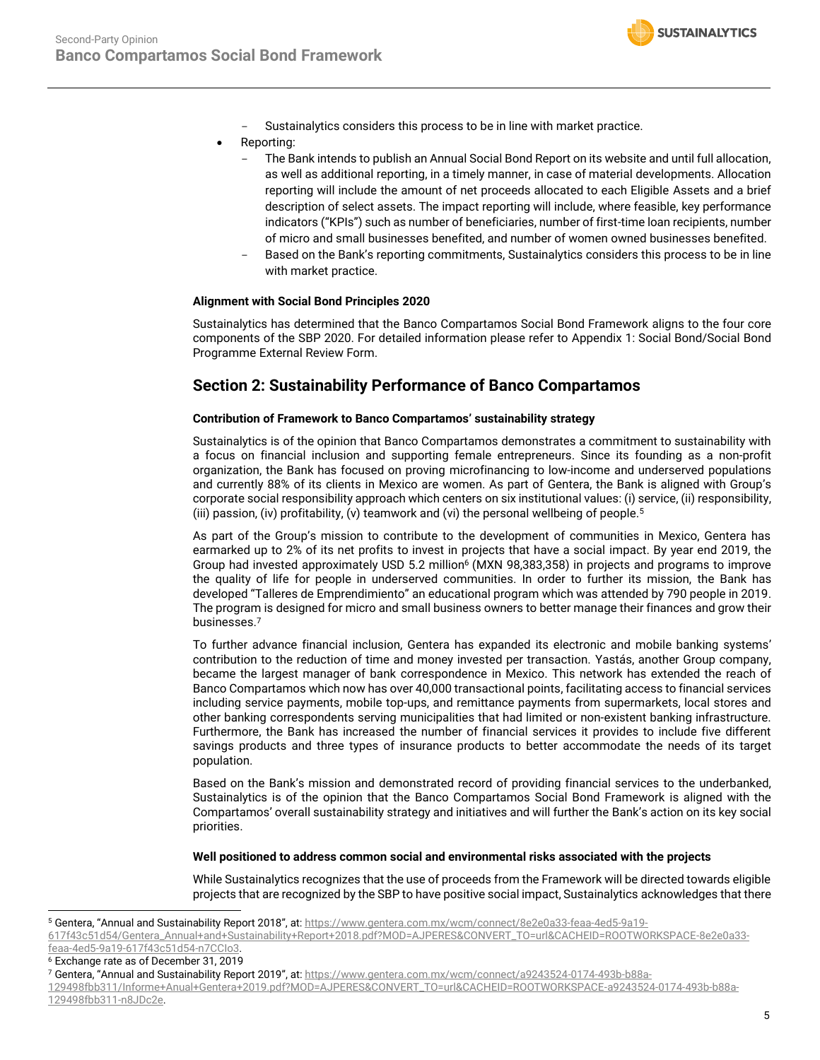

- Sustainalytics considers this process to be in line with market practice.
- Reporting:
	- The Bank intends to publish an Annual Social Bond Report on its website and until full allocation, as well as additional reporting, in a timely manner, in case of material developments. Allocation reporting will include the amount of net proceeds allocated to each Eligible Assets and a brief description of select assets. The impact reporting will include, where feasible, key performance indicators ("KPIs") such as number of beneficiaries, number of first-time loan recipients, number of micro and small businesses benefited, and number of women owned businesses benefited.
	- Based on the Bank's reporting commitments, Sustainalytics considers this process to be in line with market practice.

### **Alignment with Social Bond Principles 2020**

Sustainalytics has determined that the Banco Compartamos Social Bond Framework aligns to the four core components of the SBP 2020. For detailed information please refer to Appendix 1: Social Bond/Social Bond Programme External Review Form.

## **Section 2: Sustainability Performance of Banco Compartamos**

### **Contribution of Framework to Banco Compartamos' sustainability strategy**

Sustainalytics is of the opinion that Banco Compartamos demonstrates a commitment to sustainability with a focus on financial inclusion and supporting female entrepreneurs. Since its founding as a non-profit organization, the Bank has focused on proving microfinancing to low-income and underserved populations and currently 88% of its clients in Mexico are women. As part of Gentera, the Bank is aligned with Group's corporate social responsibility approach which centers on six institutional values: (i) service, (ii) responsibility, (iii) passion, (iv) profitability, (v) teamwork and (vi) the personal wellbeing of people.<sup>5</sup>

As part of the Group's mission to contribute to the development of communities in Mexico, Gentera has earmarked up to 2% of its net profits to invest in projects that have a social impact. By year end 2019, the Group had invested approximately USD 5.2 million<sup>6</sup> (MXN 98,383,358) in projects and programs to improve the quality of life for people in underserved communities. In order to further its mission, the Bank has developed "Talleres de Emprendimiento" an educational program which was attended by 790 people in 2019. The program is designed for micro and small business owners to better manage their finances and grow their businesses. 7

To further advance financial inclusion, Gentera has expanded its electronic and mobile banking systems' contribution to the reduction of time and money invested per transaction. Yastás, another Group company, became the largest manager of bank correspondence in Mexico. This network has extended the reach of Banco Compartamos which now has over 40,000 transactional points, facilitating access to financial services including service payments, mobile top-ups, and remittance payments from supermarkets, local stores and other banking correspondents serving municipalities that had limited or non-existent banking infrastructure. Furthermore, the Bank has increased the number of financial services it provides to include five different savings products and three types of insurance products to better accommodate the needs of its target population.

Based on the Bank's mission and demonstrated record of providing financial services to the underbanked, Sustainalytics is of the opinion that the Banco Compartamos Social Bond Framework is aligned with the Compartamos' overall sustainability strategy and initiatives and will further the Bank's action on its key social priorities.

#### **Well positioned to address common social and environmental risks associated with the projects**

While Sustainalytics recognizes that the use of proceeds from the Framework will be directed towards eligible projects that are recognized by the SBP to have positive social impact, Sustainalytics acknowledges that there

[617f43c51d54/Gentera\\_Annual+and+Sustainability+Report+2018.pdf?MOD=AJPERES&CONVERT\\_TO=url&CACHEID=ROOTWORKSPACE-8e2e0a33](https://www.gentera.com.mx/wcm/connect/8e2e0a33-feaa-4ed5-9a19-617f43c51d54/Gentera_Annual+and+Sustainability+Report+2018.pdf?MOD=AJPERES&CONVERT_TO=url&CACHEID=ROOTWORKSPACE-8e2e0a33-feaa-4ed5-9a19-617f43c51d54-n7CCIo3) [feaa-4ed5-9a19-617f43c51d54-n7CCIo3.](https://www.gentera.com.mx/wcm/connect/8e2e0a33-feaa-4ed5-9a19-617f43c51d54/Gentera_Annual+and+Sustainability+Report+2018.pdf?MOD=AJPERES&CONVERT_TO=url&CACHEID=ROOTWORKSPACE-8e2e0a33-feaa-4ed5-9a19-617f43c51d54-n7CCIo3) 

<sup>6</sup> Exchange rate as of December 31, 2019

[129498fbb311/Informe+Anual+Gentera+2019.pdf?MOD=AJPERES&CONVERT\\_TO=url&CACHEID=ROOTWORKSPACE-a9243524-0174-493b-b88a-](https://www.gentera.com.mx/wcm/connect/a9243524-0174-493b-b88a-129498fbb311/Informe+Anual+Gentera+2019.pdf?MOD=AJPERES&CONVERT_TO=url&CACHEID=ROOTWORKSPACE-a9243524-0174-493b-b88a-129498fbb311-n8JDc2e)[129498fbb311-n8JDc2e.](https://www.gentera.com.mx/wcm/connect/a9243524-0174-493b-b88a-129498fbb311/Informe+Anual+Gentera+2019.pdf?MOD=AJPERES&CONVERT_TO=url&CACHEID=ROOTWORKSPACE-a9243524-0174-493b-b88a-129498fbb311-n8JDc2e)

<sup>5</sup> Gentera, "Annual and Sustainability Report 2018", at: [https://www.gentera.com.mx/wcm/connect/8e2e0a33-feaa-4ed5-9a19-](https://www.gentera.com.mx/wcm/connect/8e2e0a33-feaa-4ed5-9a19-617f43c51d54/Gentera_Annual+and+Sustainability+Report+2018.pdf?MOD=AJPERES&CONVERT_TO=url&CACHEID=ROOTWORKSPACE-8e2e0a33-feaa-4ed5-9a19-617f43c51d54-n7CCIo3)

<sup>7</sup> Gentera, "Annual and Sustainability Report 2019", at: [https://www.gentera.com.mx/wcm/connect/a9243524-0174-493b-b88a-](https://www.gentera.com.mx/wcm/connect/a9243524-0174-493b-b88a-129498fbb311/Informe+Anual+Gentera+2019.pdf?MOD=AJPERES&CONVERT_TO=url&CACHEID=ROOTWORKSPACE-a9243524-0174-493b-b88a-129498fbb311-n8JDc2e)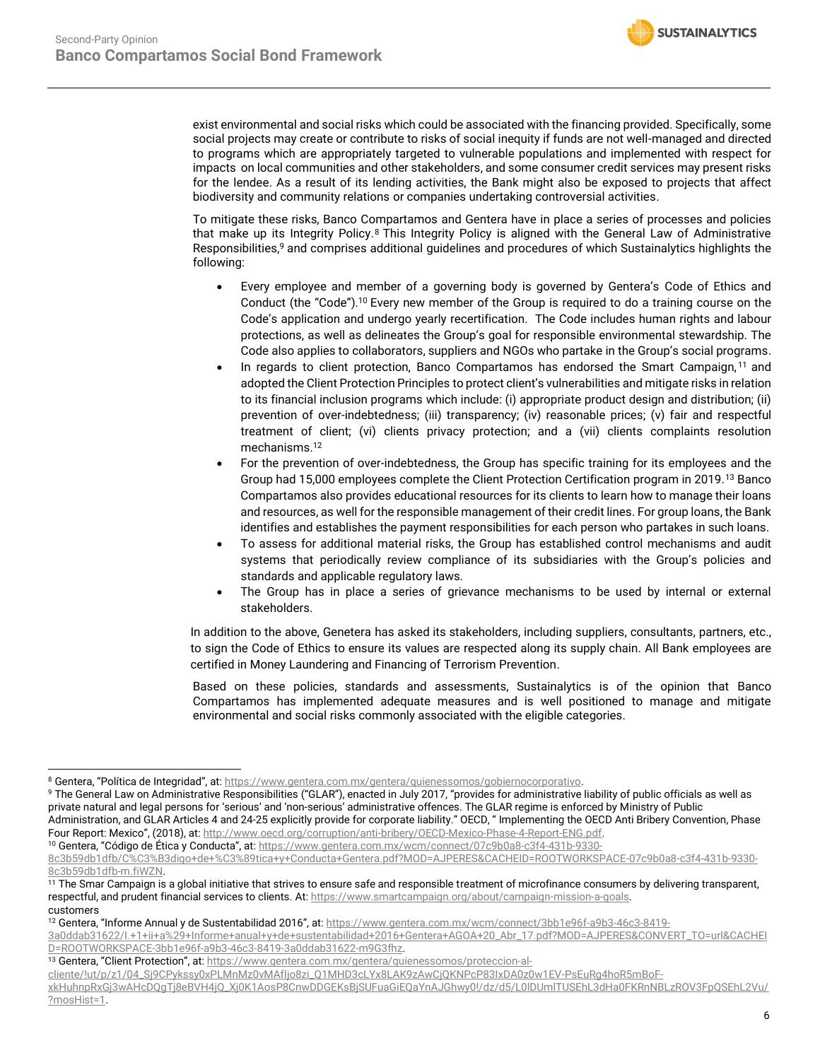exist environmental and social risks which could be associated with the financing provided. Specifically, some social projects may create or contribute to risks of social inequity if funds are not well-managed and directed to programs which are appropriately targeted to vulnerable populations and implemented with respect for impacts on local communities and other stakeholders, and some consumer credit services may present risks for the lendee. As a result of its lending activities, the Bank might also be exposed to projects that affect biodiversity and community relations or companies undertaking controversial activities.

To mitigate these risks, Banco Compartamos and Gentera have in place a series of processes and policies that make up its Integrity Policy.<sup>8</sup> This Integrity Policy is aligned with the General Law of Administrative Responsibilities,<sup>9</sup> and comprises additional guidelines and procedures of which Sustainalytics highlights the following:

- Every employee and member of a governing body is governed by Gentera's Code of Ethics and Conduct (the "Code").<sup>10</sup> Every new member of the Group is required to do a training course on the Code's application and undergo yearly recertification. The Code includes human rights and labour protections, as well as delineates the Group's goal for responsible environmental stewardship. The Code also applies to collaborators, suppliers and NGOs who partake in the Group's social programs.
- In regards to client protection, Banco Compartamos has endorsed the Smart Campaign,<sup>11</sup> and adopted the Client Protection Principles to protect client's vulnerabilities and mitigate risks in relation to its financial inclusion programs which include: (i) appropriate product design and distribution; (ii) prevention of over-indebtedness; (iii) transparency; (iv) reasonable prices; (v) fair and respectful treatment of client; (vi) clients privacy protection; and a (vii) clients complaints resolution mechanisms. 12
- For the prevention of over-indebtedness, the Group has specific training for its employees and the Group had 15,000 employees complete the Client Protection Certification program in 2019.<sup>13</sup> Banco Compartamos also provides educational resources for its clients to learn how to manage their loans and resources, as well for the responsible management of their credit lines. For group loans, the Bank identifies and establishes the payment responsibilities for each person who partakes in such loans.
- To assess for additional material risks, the Group has established control mechanisms and audit systems that periodically review compliance of its subsidiaries with the Group's policies and standards and applicable regulatory laws.
- The Group has in place a series of grievance mechanisms to be used by internal or external stakeholders.

In addition to the above, Genetera has asked its stakeholders, including suppliers, consultants, partners, etc., to sign the Code of Ethics to ensure its values are respected along its supply chain. All Bank employees are certified in Money Laundering and Financing of Terrorism Prevention.

Based on these policies, standards and assessments, Sustainalytics is of the opinion that Banco Compartamos has implemented adequate measures and is well positioned to manage and mitigate environmental and social risks commonly associated with the eligible categories.

<sup>10</sup> Gentera, "Código de Ética y Conducta", at: [https://www.gentera.com.mx/wcm/connect/07c9b0a8-c3f4-431b-9330-](https://www.gentera.com.mx/wcm/connect/07c9b0a8-c3f4-431b-9330-8c3b59db1dfb/C%C3%B3digo+de+%C3%89tica+y+Conducta+Gentera.pdf?MOD=AJPERES&CACHEID=ROOTWORKSPACE-07c9b0a8-c3f4-431b-9330-8c3b59db1dfb-m.fiWZN)

<sup>8</sup> Gentera, "Política de Integridad", at: [https://www.gentera.com.mx/gentera/quienessomos/gobiernocorporativo.](https://www.gentera.com.mx/gentera/quienessomos/gobiernocorporativo)

<sup>9</sup> The General Law on Administrative Responsibilities ("GLAR"), enacted in July 2017, "provides for administrative liability of public officials as well as private natural and legal persons for 'serious' and 'non-serious' administrative offences. The GLAR regime is enforced by Ministry of Public Administration, and GLAR Articles 4 and 24-25 explicitly provide for corporate liability." OECD, " Implementing the OECD Anti Bribery Convention, Phase Four Report: Mexico", (2018), at: http://www.oecd.org/corruption/anti-bribery/OECD-Mexico-Phase-4-Report-ENG.pdf.

[<sup>8</sup>c3b59db1dfb/C%C3%B3digo+de+%C3%89tica+y+Conducta+Gentera.pdf?MOD=AJPERES&CACHEID=ROOTWORKSPACE-07c9b0a8-c3f4-431b-9330-](https://www.gentera.com.mx/wcm/connect/07c9b0a8-c3f4-431b-9330-8c3b59db1dfb/C%C3%B3digo+de+%C3%89tica+y+Conducta+Gentera.pdf?MOD=AJPERES&CACHEID=ROOTWORKSPACE-07c9b0a8-c3f4-431b-9330-8c3b59db1dfb-m.fiWZN) [8c3b59db1dfb-m.fiWZN.](https://www.gentera.com.mx/wcm/connect/07c9b0a8-c3f4-431b-9330-8c3b59db1dfb/C%C3%B3digo+de+%C3%89tica+y+Conducta+Gentera.pdf?MOD=AJPERES&CACHEID=ROOTWORKSPACE-07c9b0a8-c3f4-431b-9330-8c3b59db1dfb-m.fiWZN) 

 $\frac{11}{11}$  The Smar Campaign is a global initiative that strives to ensure safe and responsible treatment of microfinance consumers by delivering transparent, respectful, and prudent financial services to clients. At[: https://www.smartcampaign.org/about/campaign-mission-a-goals.](https://www.smartcampaign.org/about/campaign-mission-a-goals)  customers

<sup>12</sup> Gentera, "Informe Annual y de Sustentabilidad 2016", at: [https://www.gentera.com.mx/wcm/connect/3bb1e96f-a9b3-46c3-8419-](https://www.gentera.com.mx/wcm/connect/3bb1e96f-a9b3-46c3-8419-3a0ddab31622/I.+1+ii+a%29+Informe+anual+y+de+sustentabilidad+2016+Gentera+AGOA+20_Abr_17.pdf?MOD=AJPERES&CONVERT_TO=url&CACHEID=ROOTWORKSPACE-3bb1e96f-a9b3-46c3-8419-3a0ddab31622-m9G3fhz)

[<sup>3</sup>a0ddab31622/I.+1+ii+a%29+Informe+anual+y+de+sustentabilidad+2016+Gentera+AGOA+20\\_Abr\\_17.pdf?MOD=AJPERES&CONVERT\\_TO=url&CACHEI](https://www.gentera.com.mx/wcm/connect/3bb1e96f-a9b3-46c3-8419-3a0ddab31622/I.+1+ii+a%29+Informe+anual+y+de+sustentabilidad+2016+Gentera+AGOA+20_Abr_17.pdf?MOD=AJPERES&CONVERT_TO=url&CACHEID=ROOTWORKSPACE-3bb1e96f-a9b3-46c3-8419-3a0ddab31622-m9G3fhz) [D=ROOTWORKSPACE-3bb1e96f-a9b3-46c3-8419-3a0ddab31622-m9G3fhz.](https://www.gentera.com.mx/wcm/connect/3bb1e96f-a9b3-46c3-8419-3a0ddab31622/I.+1+ii+a%29+Informe+anual+y+de+sustentabilidad+2016+Gentera+AGOA+20_Abr_17.pdf?MOD=AJPERES&CONVERT_TO=url&CACHEID=ROOTWORKSPACE-3bb1e96f-a9b3-46c3-8419-3a0ddab31622-m9G3fhz) 

<sup>13</sup> Gentera, "Client Protection", at: [https://www.gentera.com.mx/gentera/quienessomos/proteccion-al-](https://www.gentera.com.mx/gentera/quienessomos/proteccion-al-cliente/!ut/p/z1/04_Sj9CPykssy0xPLMnMz0vMAfIjo8zi_Q1MHD3cLYx8LAK9zAwCjQKNPcP83IxDA0z0w1EV-PsEuRg4hoR5mBoF-xkHuhnpRxGj3wAHcDQgTj8eBVH4jQ_Xj0K1AosP8CnwDDGEKsBjSUFuaGiEQaYnAJGhwy0!/dz/d5/L0lDUmlTUSEhL3dHa0FKRnNBLzROV3FpQSEhL2Vu/?mosHist=1)

[cliente/!ut/p/z1/04\\_Sj9CPykssy0xPLMnMz0vMAfIjo8zi\\_Q1MHD3cLYx8LAK9zAwCjQKNPcP83IxDA0z0w1EV-PsEuRg4hoR5mBoF-](https://www.gentera.com.mx/gentera/quienessomos/proteccion-al-cliente/!ut/p/z1/04_Sj9CPykssy0xPLMnMz0vMAfIjo8zi_Q1MHD3cLYx8LAK9zAwCjQKNPcP83IxDA0z0w1EV-PsEuRg4hoR5mBoF-xkHuhnpRxGj3wAHcDQgTj8eBVH4jQ_Xj0K1AosP8CnwDDGEKsBjSUFuaGiEQaYnAJGhwy0!/dz/d5/L0lDUmlTUSEhL3dHa0FKRnNBLzROV3FpQSEhL2Vu/?mosHist=1)

[xkHuhnpRxGj3wAHcDQgTj8eBVH4jQ\\_Xj0K1AosP8CnwDDGEKsBjSUFuaGiEQaYnAJGhwy0!/dz/d5/L0lDUmlTUSEhL3dHa0FKRnNBLzROV3FpQSEhL2Vu/](https://www.gentera.com.mx/gentera/quienessomos/proteccion-al-cliente/!ut/p/z1/04_Sj9CPykssy0xPLMnMz0vMAfIjo8zi_Q1MHD3cLYx8LAK9zAwCjQKNPcP83IxDA0z0w1EV-PsEuRg4hoR5mBoF-xkHuhnpRxGj3wAHcDQgTj8eBVH4jQ_Xj0K1AosP8CnwDDGEKsBjSUFuaGiEQaYnAJGhwy0!/dz/d5/L0lDUmlTUSEhL3dHa0FKRnNBLzROV3FpQSEhL2Vu/?mosHist=1) [?mosHist=1.](https://www.gentera.com.mx/gentera/quienessomos/proteccion-al-cliente/!ut/p/z1/04_Sj9CPykssy0xPLMnMz0vMAfIjo8zi_Q1MHD3cLYx8LAK9zAwCjQKNPcP83IxDA0z0w1EV-PsEuRg4hoR5mBoF-xkHuhnpRxGj3wAHcDQgTj8eBVH4jQ_Xj0K1AosP8CnwDDGEKsBjSUFuaGiEQaYnAJGhwy0!/dz/d5/L0lDUmlTUSEhL3dHa0FKRnNBLzROV3FpQSEhL2Vu/?mosHist=1)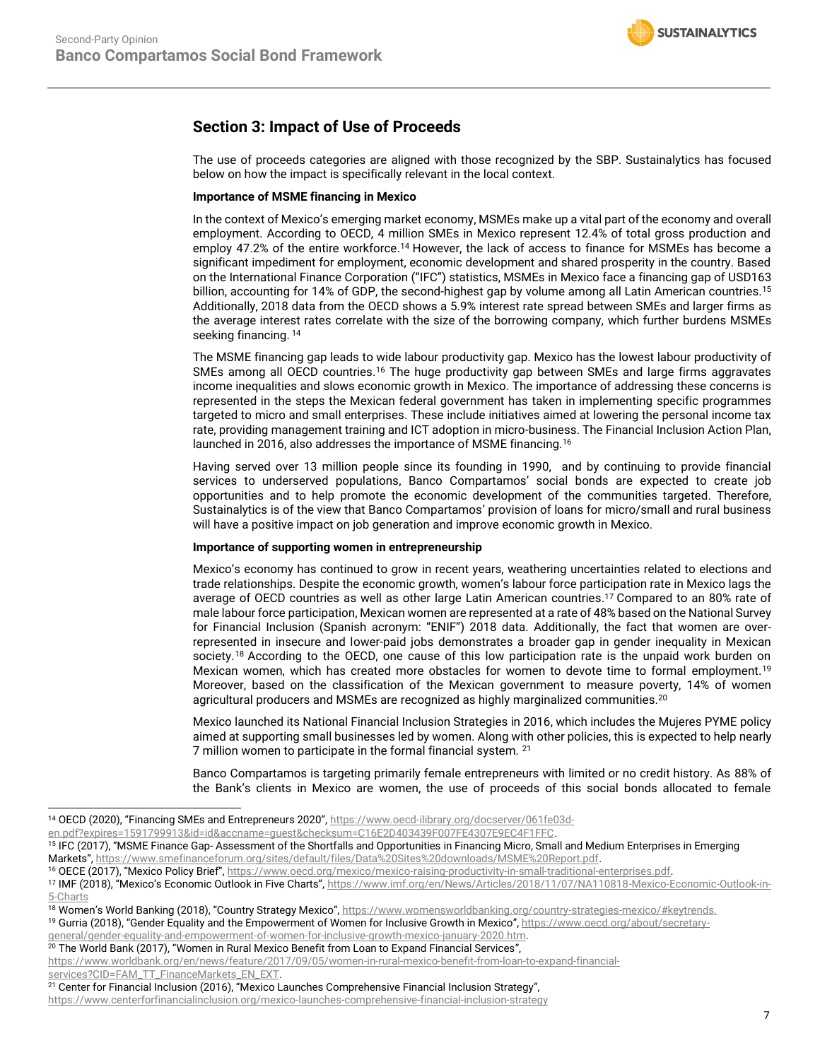# **Section 3: Impact of Use of Proceeds**

The use of proceeds categories are aligned with those recognized by the SBP. Sustainalytics has focused below on how the impact is specifically relevant in the local context.

## **Importance of MSME financing in Mexico**

<span id="page-6-0"></span>In the context of Mexico's emerging market economy, MSMEs make up a vital part of the economy and overall employment. According to OECD, 4 million SMEs in Mexico represent 12.4% of total gross production and employ 47.2% of the entire workforce. <sup>14</sup> However, the lack of access to finance for MSMEs has become a significant impediment for employment, economic development and shared prosperity in the country. Based on the International Finance Corporation ("IFC") statistics, MSMEs in Mexico face a financing gap of USD163 billion, accounting for 14% of GDP, the second-highest gap by volume among all Latin American countries.<sup>15</sup> Additionally, 2018 data from the OECD shows a 5.9% interest rate spread between SMEs and larger firms as the average interest rates correlate with the size of the borrowing company, which further burdens MSMEs seeking financing. <sup>[14](#page-6-0)</sup>

<span id="page-6-2"></span>The MSME financing gap leads to wide labour productivity gap. Mexico has the lowest labour productivity of SMEs among all OECD countries.<sup>[16](#page-6-1)</sup> The huge productivity gap between SMEs and large firms aggravates income inequalities and slows economic growth in Mexico. The importance of addressing these concerns is represented in the steps the Mexican federal government has taken in implementing specific programmes targeted to micro and small enterprises. These include initiatives aimed at lowering the personal income tax rate, providing management training and ICT adoption in micro-business. The Financial Inclusion Action Plan, launched in 2016, also addresses the importance of MSME financing.<sup>16</sup>

<span id="page-6-1"></span>Having served over 13 million people since its founding in 1990, and by continuing to provide financial services to underserved populations, Banco Compartamos' social bonds are expected to create job opportunities and to help promote the economic development of the communities targeted. Therefore, Sustainalytics is of the view that Banco Compartamos' provision of loans for micro/small and rural business will have a positive impact on job generation and improve economic growth in Mexico.

#### **Importance of supporting women in entrepreneurship**

Mexico's economy has continued to grow in recent years, weathering uncertainties related to elections and trade relationships. Despite the economic growth, women's labour force participation rate in Mexico lags the average of OECD countries as well as other large Latin American countries. <sup>17</sup> Compared to an 80% rate of male labour force participation, Mexican women are represented at a rate of 48% based on the National Survey for Financial Inclusion (Spanish acronym: "ENIF") 2018 data. Additionally, the fact that women are overrepresented in insecure and lower-paid jobs demonstrates a broader gap in gender inequality in Mexican society.<sup>18</sup> According to the OECD, one cause of this low participation rate is the unpaid work burden on Mexican women, which has created more obstacles for women to devote time to formal employment. 19 Moreover, based on the classification of the Mexican government to measure poverty, 14% of women agricultural producers and MSMEs are recognized as highly marginalized communities.<sup>20</sup>

Mexico launched its National Financial Inclusion Strategies in 2016, which includes the Mujeres PYME policy aimed at supporting small businesses led by women. Along with other policies, this is expected to help nearly 7 million women to participate in the formal financial system. <sup>21</sup>

Banco Compartamos is targeting primarily female entrepreneurs with limited or no credit history. As 88% of the Bank's clients in Mexico are women, the use of proceeds of this social bonds allocated to female

 $20$  The World Bank (2017), "Women in Rural Mexico Benefit from Loan to Expand Financial Services",

<https://www.centerforfinancialinclusion.org/mexico-launches-comprehensive-financial-inclusion-strategy>

<sup>&</sup>lt;sup>14</sup> OECD (2020), "Financing SMEs and Entrepreneurs 2020", [https://www.oecd-ilibrary.org/docserver/061fe03d-](https://www.oecd-ilibrary.org/docserver/061fe03d-en.pdf?expires=1591799913&id=id&accname=guest&checksum=C16E2D403439F007FE4307E9EC4F1FFC)

[en.pdf?expires=1591799913&id=id&accname=guest&checksum=C16E2D403439F007FE4307E9EC4F1FFC.](https://www.oecd-ilibrary.org/docserver/061fe03d-en.pdf?expires=1591799913&id=id&accname=guest&checksum=C16E2D403439F007FE4307E9EC4F1FFC)

<sup>&</sup>lt;sup>15</sup> IFC (2017), "MSME Finance Gap-Assessment of the Shortfalls and Opportunities in Financing Micro, Small and Medium Enterprises in Emerging Markets", [https://www.smefinanceforum.org/sites/default/files/Data%20Sites%20downloads/MSME%20Report.pdf.](https://www.smefinanceforum.org/sites/default/files/Data%20Sites%20downloads/MSME%20Report.pdf) 

<sup>&</sup>lt;sup>16</sup> OECE (2017), "Mexico Policy Brief", https://www.oecd.org/mexico/mexico-raising-productivity-in-small-traditional-enterprises.pdf.

<sup>&</sup>lt;sup>17</sup> IMF (2018), "Mexico's Economic Outlook in Five Charts", [https://www.imf.org/en/News/Articles/2018/11/07/NA110818-Mexico-Economic-Outlook-in-](https://www.imf.org/en/News/Articles/2018/11/07/NA110818-Mexico-Economic-Outlook-in-5-Charts)[5-Charts](https://www.imf.org/en/News/Articles/2018/11/07/NA110818-Mexico-Economic-Outlook-in-5-Charts)

<sup>&</sup>lt;sup>18</sup> Women's World Banking (2018), "Country Strategy Mexico", [https://www.womensworldbanking.org/country-strategies-mexico/#keytrends.](https://www.womensworldbanking.org/country-strategies-mexico/#keytrends)

<sup>&</sup>lt;sup>19</sup> Gurria (2018), "Gender Equality and the Empowerment of Women for Inclusive Growth in Mexico", [https://www.oecd.org/about/secretary](https://www.oecd.org/about/secretary-general/gender-equality-and-empowerment-of-women-for-inclusive-growth-mexico-january-2020.htm)[general/gender-equality-and-empowerment-of-women-for-inclusive-growth-mexico-january-2020.htm.](https://www.oecd.org/about/secretary-general/gender-equality-and-empowerment-of-women-for-inclusive-growth-mexico-january-2020.htm) 

[https://www.worldbank.org/en/news/feature/2017/09/05/women-in-rural-mexico-benefit-from-loan-to-expand-financial](https://www.worldbank.org/en/news/feature/2017/09/05/women-in-rural-mexico-benefit-from-loan-to-expand-financial-services?CID=FAM_TT_FinanceMarkets_EN_EXT)[services?CID=FAM\\_TT\\_FinanceMarkets\\_EN\\_EXT.](https://www.worldbank.org/en/news/feature/2017/09/05/women-in-rural-mexico-benefit-from-loan-to-expand-financial-services?CID=FAM_TT_FinanceMarkets_EN_EXT) 

<sup>&</sup>lt;sup>21</sup> Center for Financial Inclusion (2016), "Mexico Launches Comprehensive Financial Inclusion Strategy",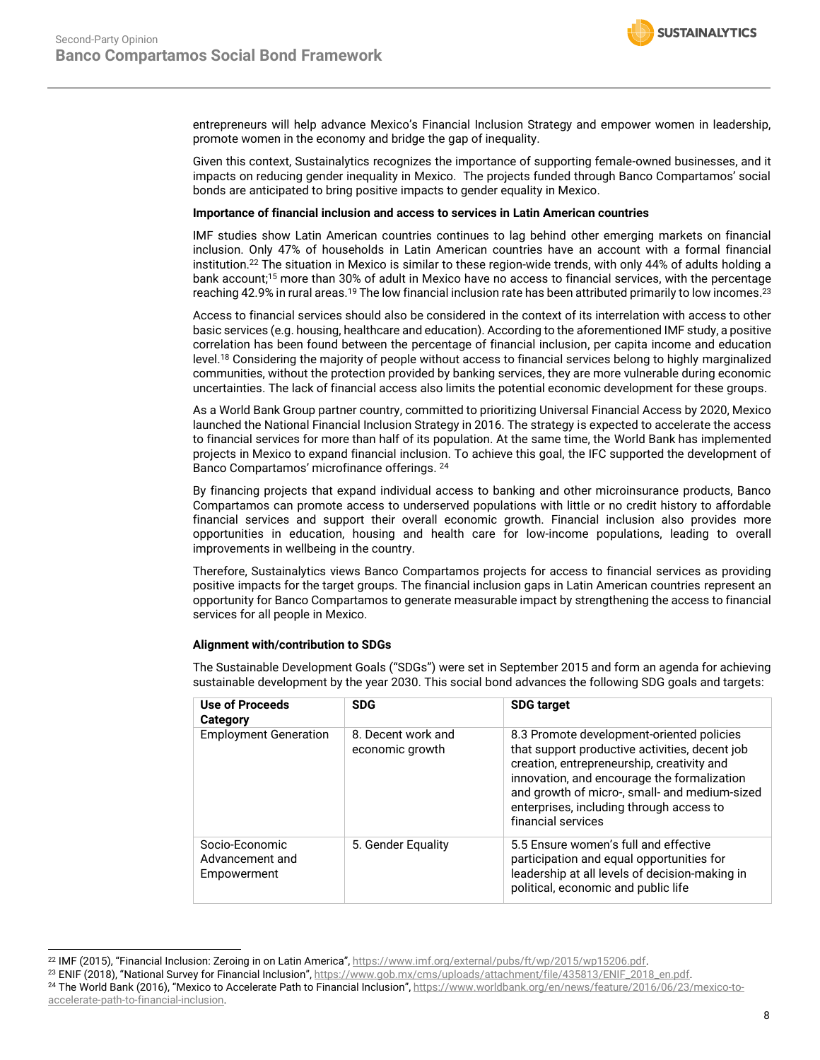**SUSTAINALYTICS** 

entrepreneurs will help advance Mexico's Financial Inclusion Strategy and empower women in leadership, promote women in the economy and bridge the gap of inequality.

Given this context, Sustainalytics recognizes the importance of supporting female-owned businesses, and it impacts on reducing gender inequality in Mexico. The projects funded through Banco Compartamos' social bonds are anticipated to bring positive impacts to gender equality in Mexico.

### **Importance of financial inclusion and access to services in Latin American countries**

IMF studies show Latin American countries continues to lag behind other emerging markets on financial inclusion. Only 47% of households in Latin American countries have an account with a formal financial institution. <sup>22</sup> The situation in Mexico is similar to these region-wide trends, with only 44% of adults holding a bank account; [15](#page-6-2) more than 30% of adult in Mexico have no access to financial services, with the percentage reaching 42.9% in rural areas.  $^{19}$  The low financial inclusion rate has been attributed primarily to low incomes. $^{23}$ 

Access to financial services should also be considered in the context of its interrelation with access to other basic services (e.g. housing, healthcare and education). According to the aforementioned IMF study, a positive correlation has been found between the percentage of financial inclusion, per capita income and education level.<sup>18</sup> Considering the majority of people without access to financial services belong to highly marginalized communities, without the protection provided by banking services, they are more vulnerable during economic uncertainties. The lack of financial access also limits the potential economic development for these groups.

As a World Bank Group partner country, committed to prioritizing Universal Financial Access by 2020, Mexico launched the National Financial Inclusion Strategy in 2016. The strategy is expected to accelerate the access to financial services for more than half of its population. At the same time, the World Bank has implemented projects in Mexico to expand financial inclusion. To achieve this goal, the IFC supported the development of Banco Compartamos' microfinance offerings. 24

By financing projects that expand individual access to banking and other microinsurance products, Banco Compartamos can promote access to underserved populations with little or no credit history to affordable financial services and support their overall economic growth. Financial inclusion also provides more opportunities in education, housing and health care for low-income populations, leading to overall improvements in wellbeing in the country.

Therefore, Sustainalytics views Banco Compartamos projects for access to financial services as providing positive impacts for the target groups. The financial inclusion gaps in Latin American countries represent an opportunity for Banco Compartamos to generate measurable impact by strengthening the access to financial services for all people in Mexico.

#### **Alignment with/contribution to SDGs**

The Sustainable Development Goals ("SDGs") were set in September 2015 and form an agenda for achieving sustainable development by the year 2030. This social bond advances the following SDG goals and targets:

| Use of Proceeds<br>Category                      | <b>SDG</b>                            | <b>SDG target</b>                                                                                                                                                                                                                                                                                           |
|--------------------------------------------------|---------------------------------------|-------------------------------------------------------------------------------------------------------------------------------------------------------------------------------------------------------------------------------------------------------------------------------------------------------------|
| <b>Employment Generation</b>                     | 8. Decent work and<br>economic growth | 8.3 Promote development-oriented policies<br>that support productive activities, decent job<br>creation, entrepreneurship, creativity and<br>innovation, and encourage the formalization<br>and growth of micro-, small- and medium-sized<br>enterprises, including through access to<br>financial services |
| Socio-Economic<br>Advancement and<br>Empowerment | 5. Gender Equality                    | 5.5 Ensure women's full and effective<br>participation and equal opportunities for<br>leadership at all levels of decision-making in<br>political, economic and public life                                                                                                                                 |

<sup>&</sup>lt;sup>22</sup> IMF (2015), "Financial Inclusion: Zeroing in on Latin America", [https://www.imf.org/external/pubs/ft/wp/2015/wp15206.pdf.](https://www.imf.org/external/pubs/ft/wp/2015/wp15206.pdf)

<sup>&</sup>lt;sup>23</sup> ENIF (2018), "National Survey for Financial Inclusion", [https://www.gob.mx/cms/uploads/attachment/file/435813/ENIF\\_2018\\_en.pdf.](https://www.gob.mx/cms/uploads/attachment/file/435813/ENIF_2018_en.pdf) <sup>24</sup> The World Bank (2016), "Mexico to Accelerate Path to Financial Inclusion", [https://www.worldbank.org/en/news/feature/2016/06/23/mexico-to-](https://www.worldbank.org/en/news/feature/2016/06/23/mexico-to-accelerate-path-to-financial-inclusion)

[accelerate-path-to-financial-inclusion.](https://www.worldbank.org/en/news/feature/2016/06/23/mexico-to-accelerate-path-to-financial-inclusion)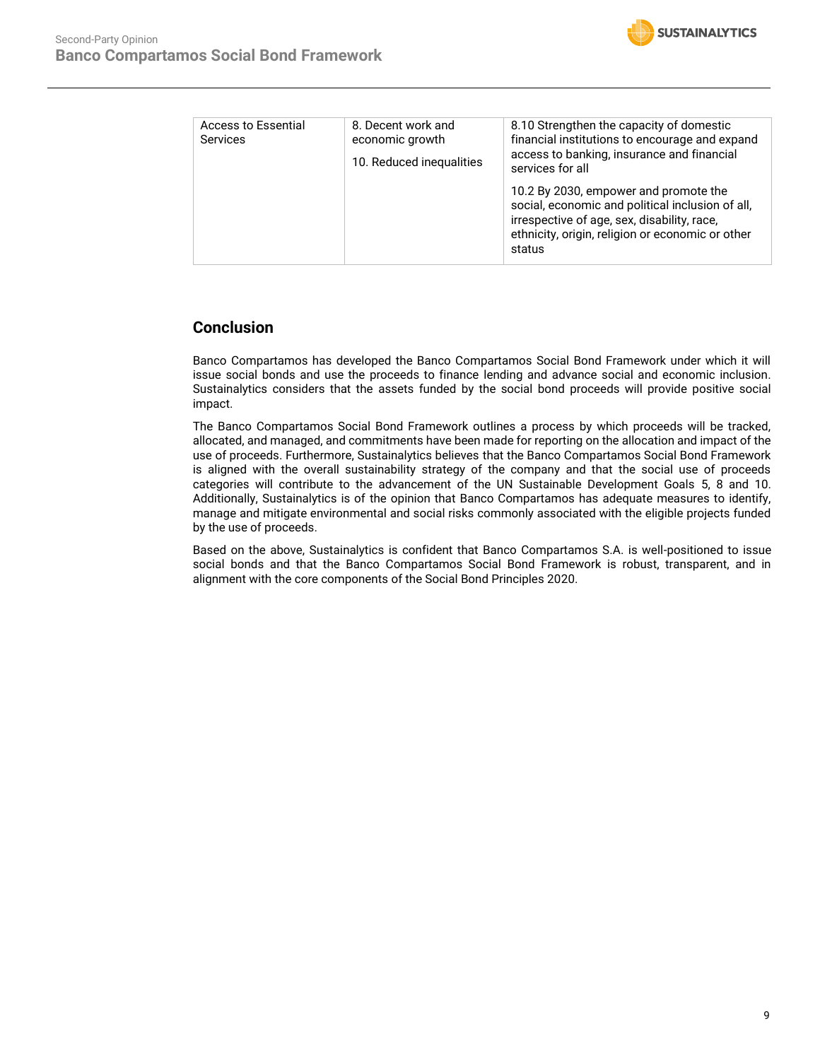

| Access to Essential<br><b>Services</b> | 8. Decent work and<br>economic growth<br>10. Reduced inequalities | 8.10 Strengthen the capacity of domestic<br>financial institutions to encourage and expand<br>access to banking, insurance and financial<br>services for all                                           |
|----------------------------------------|-------------------------------------------------------------------|--------------------------------------------------------------------------------------------------------------------------------------------------------------------------------------------------------|
|                                        |                                                                   | 10.2 By 2030, empower and promote the<br>social, economic and political inclusion of all,<br>irrespective of age, sex, disability, race,<br>ethnicity, origin, religion or economic or other<br>status |

# **Conclusion**

Banco Compartamos has developed the Banco Compartamos Social Bond Framework under which it will issue social bonds and use the proceeds to finance lending and advance social and economic inclusion. Sustainalytics considers that the assets funded by the social bond proceeds will provide positive social impact.

The Banco Compartamos Social Bond Framework outlines a process by which proceeds will be tracked, allocated, and managed, and commitments have been made for reporting on the allocation and impact of the use of proceeds. Furthermore, Sustainalytics believes that the Banco Compartamos Social Bond Framework is aligned with the overall sustainability strategy of the company and that the social use of proceeds categories will contribute to the advancement of the UN Sustainable Development Goals 5, 8 and 10. Additionally, Sustainalytics is of the opinion that Banco Compartamos has adequate measures to identify, manage and mitigate environmental and social risks commonly associated with the eligible projects funded by the use of proceeds.

Based on the above, Sustainalytics is confident that Banco Compartamos S.A. is well-positioned to issue social bonds and that the Banco Compartamos Social Bond Framework is robust, transparent, and in alignment with the core components of the Social Bond Principles 2020.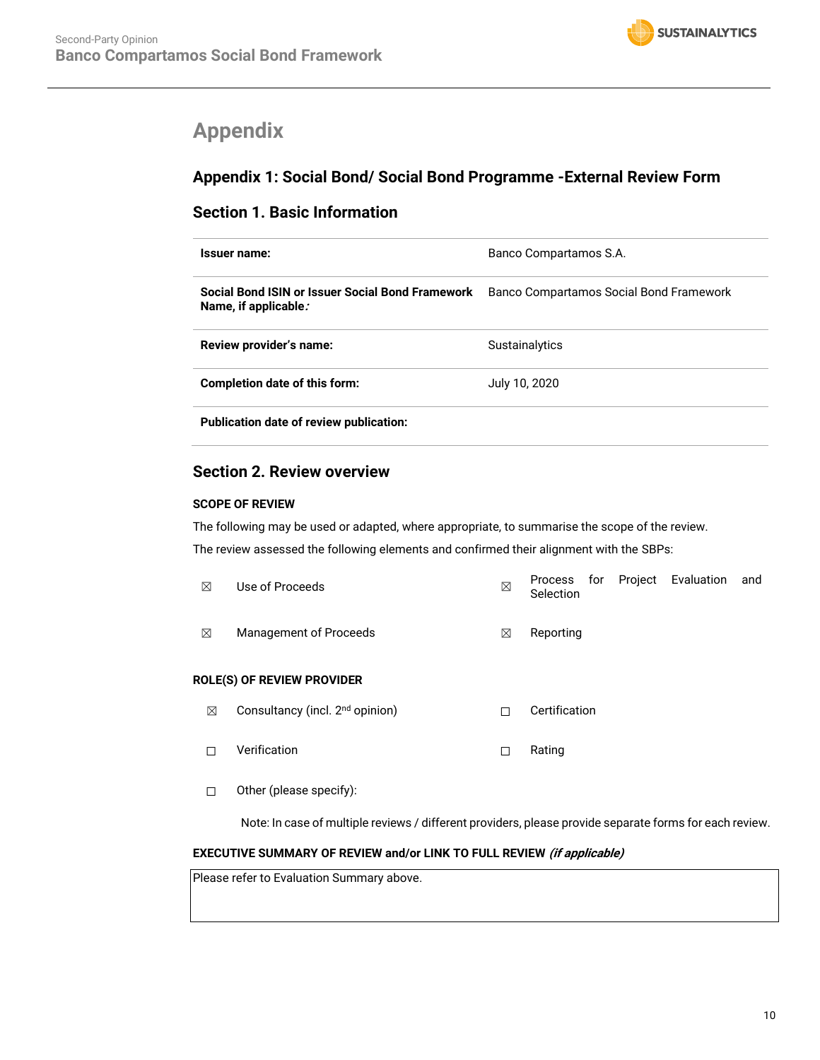# <span id="page-9-0"></span>**Appendix**

# **Appendix 1: Social Bond/ Social Bond Programme -External Review Form**

# **Section 1. Basic Information**

| Issuer name:                                                             | Banco Compartamos S.A.                  |
|--------------------------------------------------------------------------|-----------------------------------------|
| Social Bond ISIN or Issuer Social Bond Framework<br>Name, if applicable. | Banco Compartamos Social Bond Framework |
| Review provider's name:                                                  | <b>Sustainalytics</b>                   |
| Completion date of this form:                                            | July 10, 2020                           |
| <b>Publication date of review publication:</b>                           |                                         |

# **Section 2. Review overview**

## **SCOPE OF REVIEW**

The following may be used or adapted, where appropriate, to summarise the scope of the review. The review assessed the following elements and confirmed their alignment with the SBPs:

| ⊠           | Use of Proceeds                             | $\boxtimes$ | Project Evaluation<br>for<br>and<br>Process<br>Selection |  |
|-------------|---------------------------------------------|-------------|----------------------------------------------------------|--|
| ⊠           | Management of Proceeds                      | ⊠           | Reporting                                                |  |
|             | <b>ROLE(S) OF REVIEW PROVIDER</b>           |             |                                                          |  |
| $\boxtimes$ | Consultancy (incl. 2 <sup>nd</sup> opinion) | П           | Certification                                            |  |
|             | Verification                                | □           | Rating                                                   |  |
|             |                                             |             |                                                          |  |

☐ Other (please specify):

Note: In case of multiple reviews / different providers, please provide separate forms for each review.

## **EXECUTIVE SUMMARY OF REVIEW and/or LINK TO FULL REVIEW (if applicable)**

Please refer to Evaluation Summary above.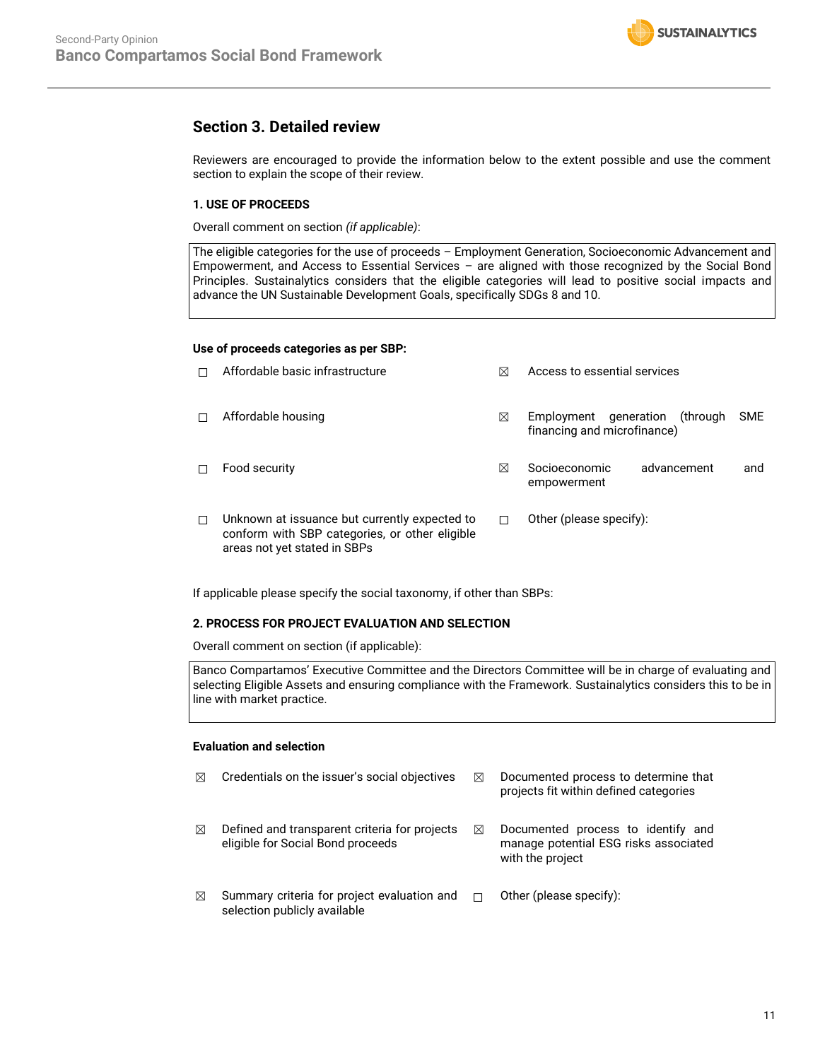

## **Section 3. Detailed review**

Reviewers are encouraged to provide the information below to the extent possible and use the comment section to explain the scope of their review.

## **1. USE OF PROCEEDS**

Overall comment on section *(if applicable)*:

The eligible categories for the use of proceeds – Employment Generation, Socioeconomic Advancement and Empowerment, and Access to Essential Services – are aligned with those recognized by the Social Bond Principles. Sustainalytics considers that the eligible categories will lead to positive social impacts and advance the UN Sustainable Development Goals, specifically SDGs 8 and 10.

## **Use of proceeds categories as per SBP:**

|   | Affordable basic infrastructure                                                                                                 | ⊠ | Access to essential services                                                      |     |  |
|---|---------------------------------------------------------------------------------------------------------------------------------|---|-----------------------------------------------------------------------------------|-----|--|
| П | Affordable housing                                                                                                              | ⊠ | <b>SME</b><br>generation<br>Employment<br>through)<br>financing and microfinance) |     |  |
| П | Food security                                                                                                                   | ⊠ | Socioeconomic<br>advancement<br>empowerment                                       | and |  |
| П | Unknown at issuance but currently expected to<br>conform with SBP categories, or other eligible<br>areas not yet stated in SBPs | П | Other (please specify):                                                           |     |  |

If applicable please specify the social taxonomy, if other than SBPs:

## **2. PROCESS FOR PROJECT EVALUATION AND SELECTION**

Overall comment on section (if applicable):

Banco Compartamos' Executive Committee and the Directors Committee will be in charge of evaluating and selecting Eligible Assets and ensuring compliance with the Framework. Sustainalytics considers this to be in line with market practice.

## **Evaluation and selection**

| ⊠ | Credentials on the issuer's social objectives                                         | ⊠ | Documented process to determine that<br>projects fit within defined categories                  |
|---|---------------------------------------------------------------------------------------|---|-------------------------------------------------------------------------------------------------|
| ⊠ | Defined and transparent criteria for projects<br>eligible for Social Bond proceeds    | ⊠ | Documented process to identify and<br>manage potential ESG risks associated<br>with the project |
| ⊠ | Summary criteria for project evaluation and $\square$<br>selection publicly available |   | Other (please specify):                                                                         |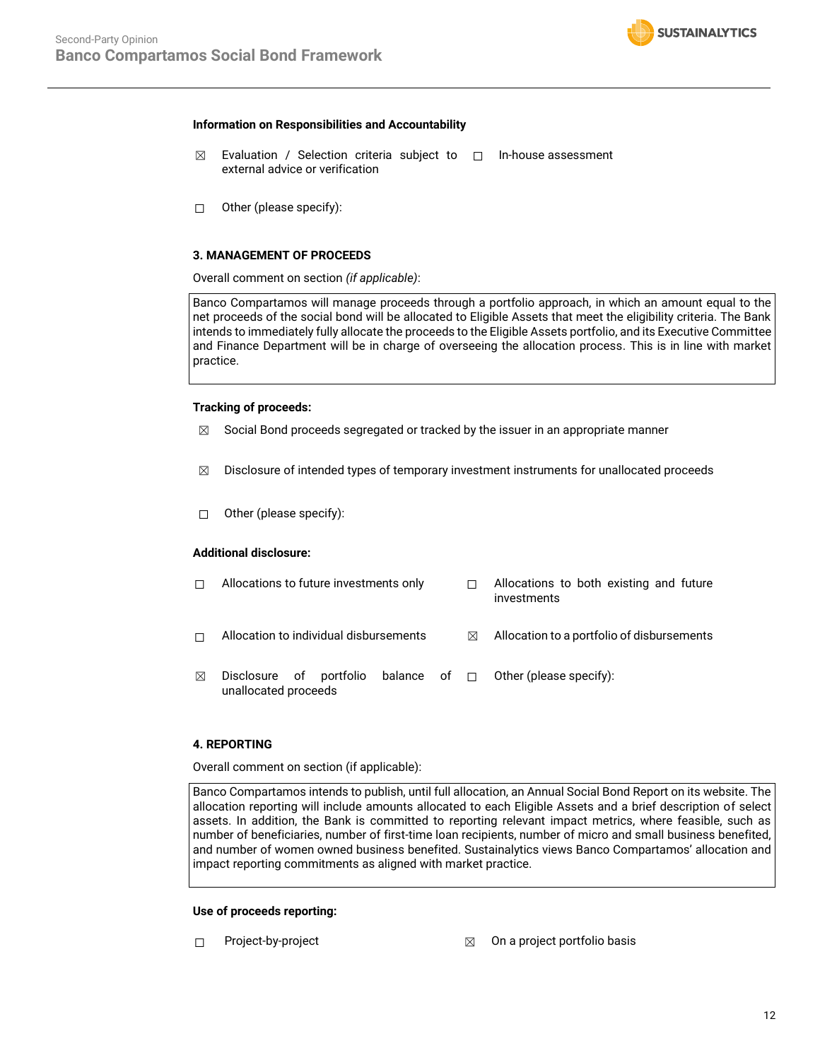### **Information on Responsibilities and Accountability**

- ☒ Evaluation / Selection criteria subject to ☐ In-house assessment external advice or verification
- ☐ Other (please specify):

#### **3. MANAGEMENT OF PROCEEDS**

Overall comment on section *(if applicable)*:

Banco Compartamos will manage proceeds through a portfolio approach, in which an amount equal to the net proceeds of the social bond will be allocated to Eligible Assets that meet the eligibility criteria. The Bank intends to immediately fully allocate the proceeds to the Eligible Assets portfolio, and its Executive Committee and Finance Department will be in charge of overseeing the allocation process. This is in line with market practice.

### **Tracking of proceeds:**

- $\boxtimes$  Social Bond proceeds segregated or tracked by the issuer in an appropriate manner
- $\boxtimes$  Disclosure of intended types of temporary investment instruments for unallocated proceeds
- ☐ Other (please specify):

## **Additional disclosure:**

| П | Allocations to future investments only          |  |   | Allocations to both existing and future<br>investments |
|---|-------------------------------------------------|--|---|--------------------------------------------------------|
| п | Allocation to individual disbursements          |  | ⊠ | Allocation to a portfolio of disbursements             |
| ⊠ | Disclosure of portfolio<br>unallocated proceeds |  |   | balance of $\Box$ Other (please specify):              |

## **4. REPORTING**

Overall comment on section (if applicable):

Banco Compartamos intends to publish, until full allocation, an Annual Social Bond Report on its website. The allocation reporting will include amounts allocated to each Eligible Assets and a brief description of select assets. In addition, the Bank is committed to reporting relevant impact metrics, where feasible, such as number of beneficiaries, number of first-time loan recipients, number of micro and small business benefited, and number of women owned business benefited. Sustainalytics views Banco Compartamos' allocation and impact reporting commitments as aligned with market practice.

#### **Use of proceeds reporting:**

- 
- ☐ Project-by-project ☒ On a project portfolio basis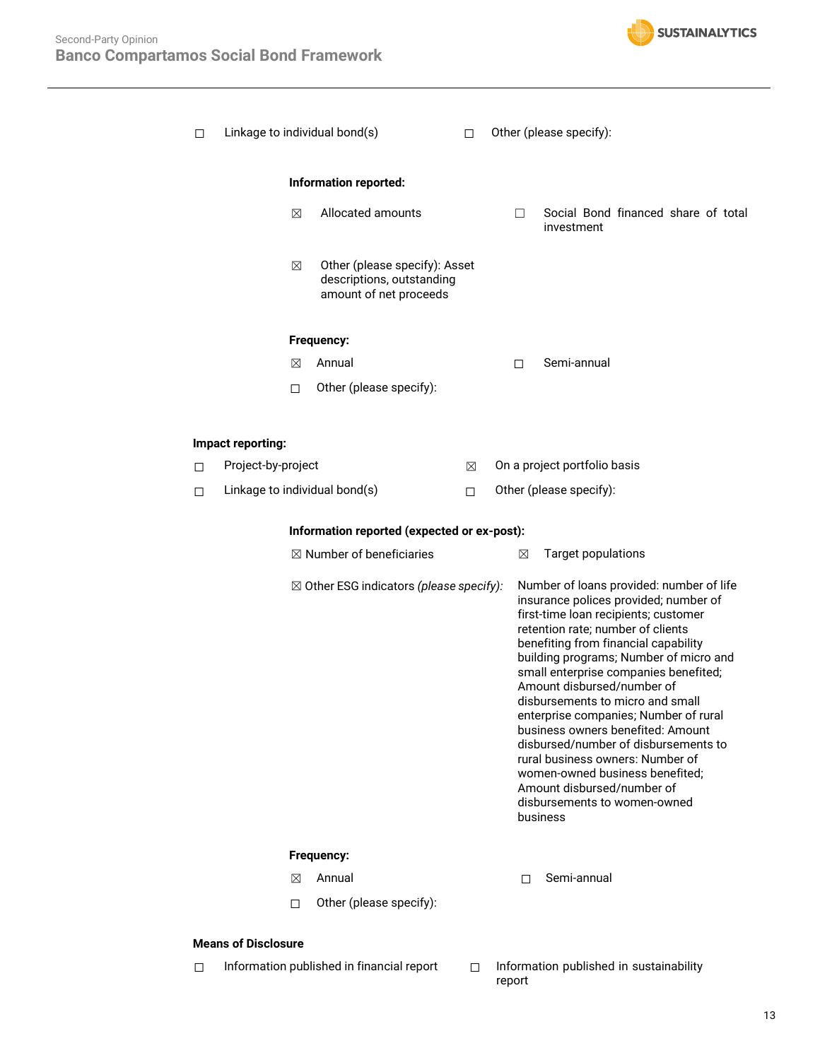

| □      | Linkage to individual bond(s) |   | П                                                                                    | Other (please specify): |  |   |                                                                                                                                                                                                                                                                                                                                                                                                                                                                                                                                                                                                                                    |
|--------|-------------------------------|---|--------------------------------------------------------------------------------------|-------------------------|--|---|------------------------------------------------------------------------------------------------------------------------------------------------------------------------------------------------------------------------------------------------------------------------------------------------------------------------------------------------------------------------------------------------------------------------------------------------------------------------------------------------------------------------------------------------------------------------------------------------------------------------------------|
|        | Information reported:         |   |                                                                                      |                         |  |   |                                                                                                                                                                                                                                                                                                                                                                                                                                                                                                                                                                                                                                    |
|        |                               | X | Allocated amounts                                                                    |                         |  | П | Social Bond financed share of total<br>investment                                                                                                                                                                                                                                                                                                                                                                                                                                                                                                                                                                                  |
|        |                               | ⊠ | Other (please specify): Asset<br>descriptions, outstanding<br>amount of net proceeds |                         |  |   |                                                                                                                                                                                                                                                                                                                                                                                                                                                                                                                                                                                                                                    |
|        |                               |   | Frequency:                                                                           |                         |  |   |                                                                                                                                                                                                                                                                                                                                                                                                                                                                                                                                                                                                                                    |
|        |                               | ⊠ | Annual                                                                               |                         |  | П | Semi-annual                                                                                                                                                                                                                                                                                                                                                                                                                                                                                                                                                                                                                        |
|        |                               | □ | Other (please specify):                                                              |                         |  |   |                                                                                                                                                                                                                                                                                                                                                                                                                                                                                                                                                                                                                                    |
|        |                               |   |                                                                                      |                         |  |   |                                                                                                                                                                                                                                                                                                                                                                                                                                                                                                                                                                                                                                    |
|        | Impact reporting:             |   |                                                                                      |                         |  |   |                                                                                                                                                                                                                                                                                                                                                                                                                                                                                                                                                                                                                                    |
| □      | Project-by-project            |   |                                                                                      | ⊠                       |  |   | On a project portfolio basis                                                                                                                                                                                                                                                                                                                                                                                                                                                                                                                                                                                                       |
| $\Box$ |                               |   | Linkage to individual bond(s)                                                        | □                       |  |   | Other (please specify):                                                                                                                                                                                                                                                                                                                                                                                                                                                                                                                                                                                                            |
|        |                               |   |                                                                                      |                         |  |   |                                                                                                                                                                                                                                                                                                                                                                                                                                                                                                                                                                                                                                    |
|        |                               |   | Information reported (expected or ex-post):                                          |                         |  |   |                                                                                                                                                                                                                                                                                                                                                                                                                                                                                                                                                                                                                                    |
|        |                               |   | $\boxtimes$ Number of beneficiaries                                                  |                         |  | ⊠ | <b>Target populations</b>                                                                                                                                                                                                                                                                                                                                                                                                                                                                                                                                                                                                          |
|        |                               |   | $\boxtimes$ Other ESG indicators (please specify):                                   |                         |  |   | Number of loans provided: number of life<br>insurance polices provided; number of<br>first-time loan recipients; customer<br>retention rate; number of clients<br>benefiting from financial capability<br>building programs; Number of micro and<br>small enterprise companies benefited;<br>Amount disbursed/number of<br>disbursements to micro and small<br>enterprise companies; Number of rural<br>business owners benefited: Amount<br>disbursed/number of disbursements to<br>rural business owners: Number of<br>women-owned business benefited;<br>Amount disbursed/number of<br>disbursements to women-owned<br>business |
|        |                               |   | Frequency:                                                                           |                         |  |   |                                                                                                                                                                                                                                                                                                                                                                                                                                                                                                                                                                                                                                    |
|        |                               | ⊠ | Annual                                                                               |                         |  | П | Semi-annual                                                                                                                                                                                                                                                                                                                                                                                                                                                                                                                                                                                                                        |
|        |                               | п | Other (please specify):                                                              |                         |  |   |                                                                                                                                                                                                                                                                                                                                                                                                                                                                                                                                                                                                                                    |
|        | <b>Means of Disclosure</b>    |   |                                                                                      |                         |  |   |                                                                                                                                                                                                                                                                                                                                                                                                                                                                                                                                                                                                                                    |
| п      |                               |   | Information published in financial report                                            | п                       |  |   | Information published in sustainability                                                                                                                                                                                                                                                                                                                                                                                                                                                                                                                                                                                            |

- 
- report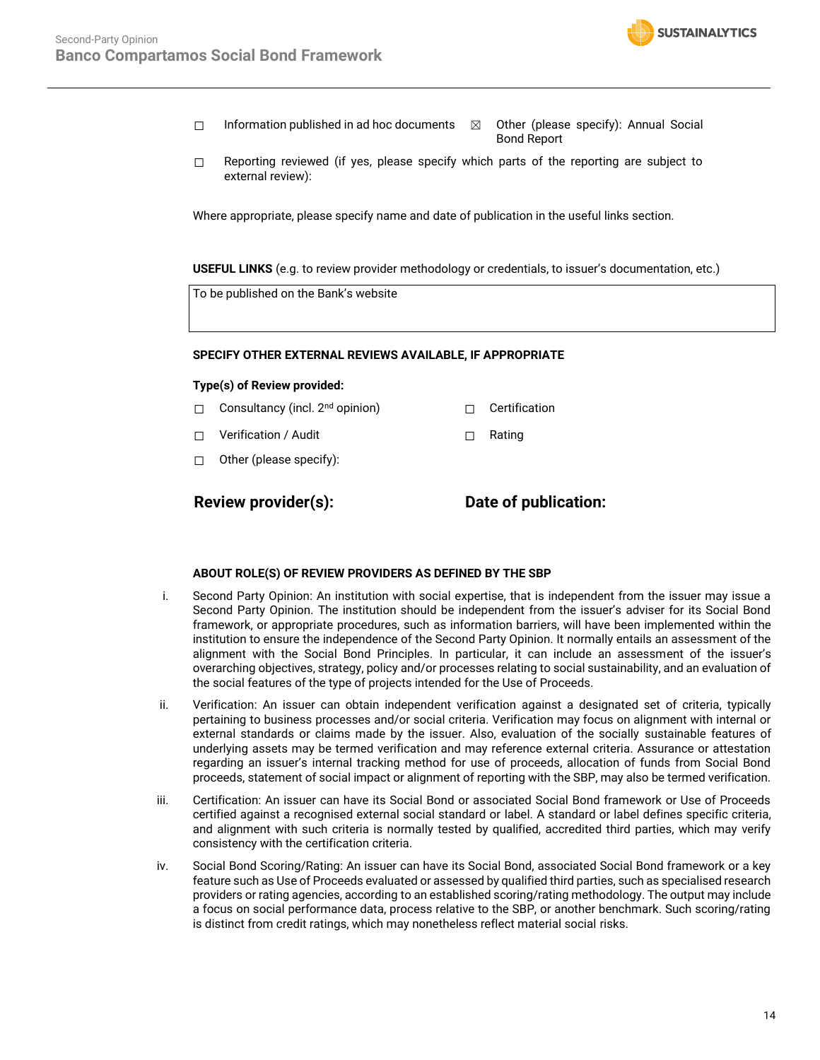

- ☐ Information published in ad hoc documents ☒ Other (please specify): Annual Social Bond Report
- ☐ Reporting reviewed (if yes, please specify which parts of the reporting are subject to external review):

Where appropriate, please specify name and date of publication in the useful links section.

**USEFUL LINKS** (e.g. to review provider methodology or credentials, to issuer's documentation, etc.)

To be published on the Bank's website

#### **SPECIFY OTHER EXTERNAL REVIEWS AVAILABLE, IF APPROPRIATE**

### **Type(s) of Review provided:**

- □ Consultancy (incl. 2<sup>nd</sup> opinion) □ □ Certification
- ☐ Verification / Audit ☐ Rating
- ☐ Other (please specify):

**Review provider(s): Date of publication:**

#### **ABOUT ROLE(S) OF REVIEW PROVIDERS AS DEFINED BY THE SBP**

- i. Second Party Opinion: An institution with social expertise, that is independent from the issuer may issue a Second Party Opinion. The institution should be independent from the issuer's adviser for its Social Bond framework, or appropriate procedures, such as information barriers, will have been implemented within the institution to ensure the independence of the Second Party Opinion. It normally entails an assessment of the alignment with the Social Bond Principles. In particular, it can include an assessment of the issuer's overarching objectives, strategy, policy and/or processes relating to social sustainability, and an evaluation of the social features of the type of projects intended for the Use of Proceeds.
- ii. Verification: An issuer can obtain independent verification against a designated set of criteria, typically pertaining to business processes and/or social criteria. Verification may focus on alignment with internal or external standards or claims made by the issuer. Also, evaluation of the socially sustainable features of underlying assets may be termed verification and may reference external criteria. Assurance or attestation regarding an issuer's internal tracking method for use of proceeds, allocation of funds from Social Bond proceeds, statement of social impact or alignment of reporting with the SBP, may also be termed verification.
- iii. Certification: An issuer can have its Social Bond or associated Social Bond framework or Use of Proceeds certified against a recognised external social standard or label. A standard or label defines specific criteria, and alignment with such criteria is normally tested by qualified, accredited third parties, which may verify consistency with the certification criteria.
- iv. Social Bond Scoring/Rating: An issuer can have its Social Bond, associated Social Bond framework or a key feature such as Use of Proceeds evaluated or assessed by qualified third parties, such as specialised research providers or rating agencies, according to an established scoring/rating methodology. The output may include a focus on social performance data, process relative to the SBP, or another benchmark. Such scoring/rating is distinct from credit ratings, which may nonetheless reflect material social risks.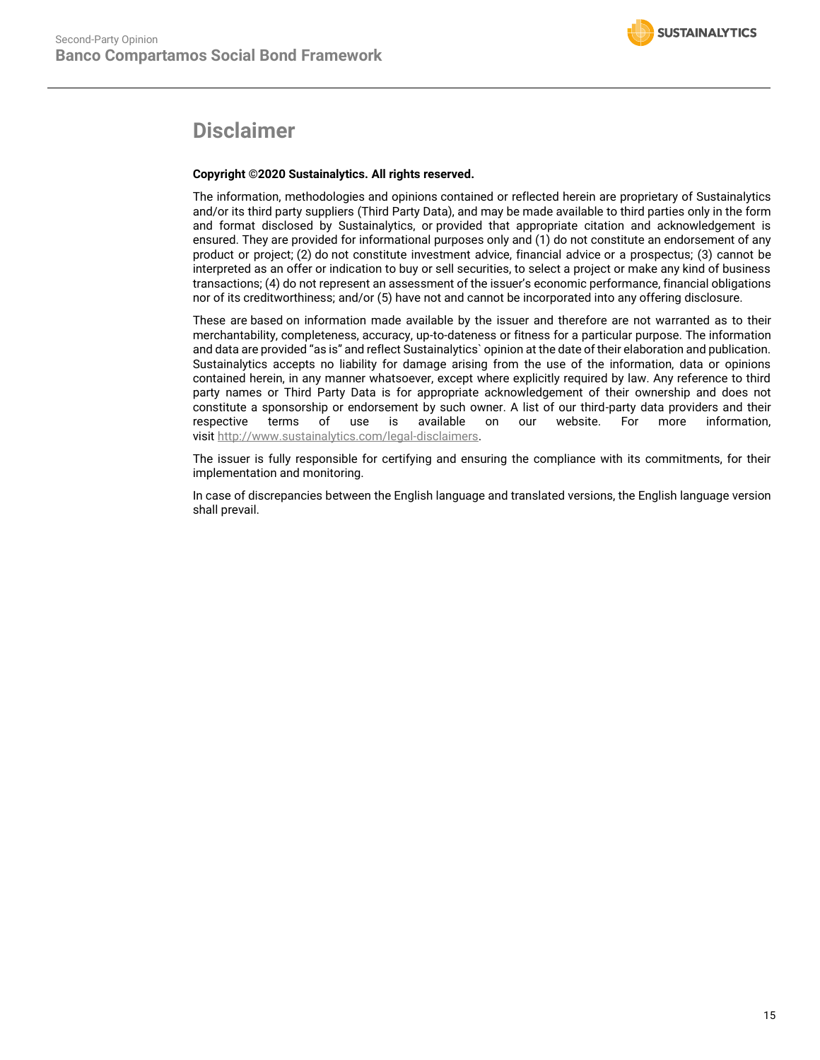# **Disclaimer**

## **Copyright ©2020 Sustainalytics. All rights reserved.**

The information, methodologies and opinions contained or reflected herein are proprietary of Sustainalytics and/or its third party suppliers (Third Party Data), and may be made available to third parties only in the form and format disclosed by Sustainalytics, or provided that appropriate citation and acknowledgement is ensured. They are provided for informational purposes only and (1) do not constitute an endorsement of any product or project; (2) do not constitute investment advice, financial advice or a prospectus; (3) cannot be interpreted as an offer or indication to buy or sell securities, to select a project or make any kind of business transactions; (4) do not represent an assessment of the issuer's economic performance, financial obligations nor of its creditworthiness; and/or (5) have not and cannot be incorporated into any offering disclosure.

These are based on information made available by the issuer and therefore are not warranted as to their merchantability, completeness, accuracy, up-to-dateness or fitness for a particular purpose. The information and data are provided "as is" and reflect Sustainalytics` opinion at the date of their elaboration and publication. Sustainalytics accepts no liability for damage arising from the use of the information, data or opinions contained herein, in any manner whatsoever, except where explicitly required by law. Any reference to third party names or Third Party Data is for appropriate acknowledgement of their ownership and does not constitute a sponsorship or endorsement by such owner. A list of our third-party data providers and their respective terms of use is available on our website. For more information, visit [http://www.sustainalytics.com/legal-disclaimers.](http://www.sustainalytics.com/legal-disclaimers)

The issuer is fully responsible for certifying and ensuring the compliance with its commitments, for their implementation and monitoring.

In case of discrepancies between the English language and translated versions, the English language version shall prevail.